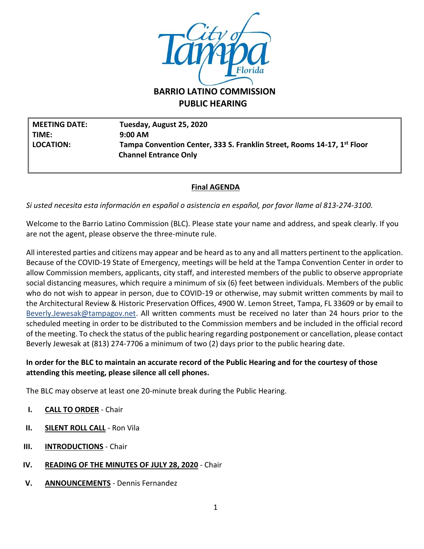

**PUBLIC HEARING**

**MEETING DATE: Tuesday, August 25, 2020 TIME: 9:00 AM LOCATION: Tampa Convention Center, 333 S. Franklin Street, Rooms 14-17, 1st Floor Channel Entrance Only** 

## **Final AGENDA**

*Si usted necesita esta información en español o asistencia en español, por favor llame al 813-274-3100.*

Welcome to the Barrio Latino Commission (BLC). Please state your name and address, and speak clearly. If you are not the agent, please observe the three-minute rule.

All interested parties and citizens may appear and be heard as to any and all matters pertinent to the application. Because of the COVID-19 State of Emergency, meetings will be held at the Tampa Convention Center in order to allow Commission members, applicants, city staff, and interested members of the public to observe appropriate social distancing measures, which require a minimum of six (6) feet between individuals. Members of the public who do not wish to appear in person, due to COVID-19 or otherwise, may submit written comments by mail to the Architectural Review & Historic Preservation Offices, 4900 W. Lemon Street, Tampa, FL 33609 or by email to [Beverly.Jewesak@tampagov.net.](mailto:Beverly.Jewesak@tampagov.net) All written comments must be received no later than 24 hours prior to the scheduled meeting in order to be distributed to the Commission members and be included in the official record of the meeting. To check the status of the public hearing regarding postponement or cancellation, please contact Beverly Jewesak at (813) 274-7706 a minimum of two (2) days prior to the public hearing date.

## **In order for the BLC to maintain an accurate record of the Public Hearing and for the courtesy of those attending this meeting, please silence all cell phones.**

The BLC may observe at least one 20-minute break during the Public Hearing.

- **I. CALL TO ORDER** Chair
- **II. SILENT ROLL CALL** Ron Vila
- **III. INTRODUCTIONS** Chair
- **IV. READING OF THE MINUTES OF JULY 28, 2020** Chair
- **V. ANNOUNCEMENTS** Dennis Fernandez